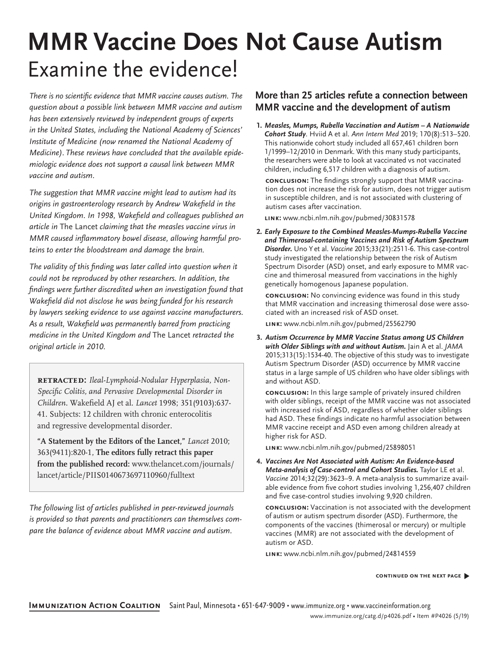## **MMR Vaccine Does Not Cause Autism** Examine the evidence!

There is no scientific evidence that MMR vaccine causes autism. The question about a possible link between MMR vaccine and autism has been extensively reviewed by independent groups of experts in the United States, including the National Academy of Sciences' Institute of Medicine (now renamed the National Academy of Medicine). These reviews have concluded that the available epidemiologic evidence does not support a causal link between MMR vaccine and autism.

The suggestion that MMR vaccine might lead to autism had its origins in gastroenterology research by Andrew Wakefield in the United Kingdom. In 1998, Wakefield and colleagues published an article in The Lancet claiming that the measles vaccine virus in MMR caused inflammatory bowel disease, allowing harmful proteins to enter the bloodstream and damage the brain.

The validity of this finding was later called into question when it could not be reproduced by other researchers. In addition, the findings were further discredited when an investigation found that Wakefield did not disclose he was being funded for his research by lawyers seeking evidence to use against vaccine manufacturers. As a result, Wakefield was permanently barred from practicing medicine in the United Kingdom and The Lancet retracted the original article in 2010.

**retracted:** *Ileal-Lymphoid-Nodular Hyperplasia, Non-Specific Colitis, and Pervasive Developmental Disorder in Children.* Wakefield AJ et al. *Lancet* 1998; 351(9103):637- 41. Subjects: 12 children with chronic enterocolitis and regressive developmental disorder.

**"A Statement by the Editors of the Lancet,"** *Lancet* 2010; 363(9411):820-1, **The editors fully retract this paper from the published record:** ww[w.thelancet.com/journals/](http://www.thelancet.com/journals/lancet/article/PIIS0140673697110960/fulltext) [lancet/article/PIIS01406736](http://www.thelancet.com/journals/lancet/article/PIIS0140673697110960/fulltext)97110960/fulltext

The following list of articles published in peer-reviewed journals is provided so that parents and practitioners can themselves compare the balance of evidence about MMR vaccine and autism.

## **More than 25 articles refute a connection between MMR vaccine and the development of autism**

**1***. Measles, Mumps, Rubella Vaccination and Autism – A Nationwide Cohort Study*. Hviid A et al. Ann Intern Med 2019; 170(8):513–520. This nationwide cohort study included all 657,461 children born 1/1999–12/2010 in Denmark. With this many study participants, the researchers were able to look at vaccinated vs not vaccinated children, including 6,517 children with a diagnosis of autism.

**conclusion:** The findings strongly support that MMR vaccination does not increase the risk for autism, does not trigger autism in susceptible children, and is not associated with clustering of autism cases after vaccination.

**link:** www.ncbi.nlm.nih.gov/pubmed/30831578

**2***. Early Exposure to the Combined Measles-Mumps-Rubella Vaccine and Thimerosal-containing Vaccines and Risk of Autism Spectrum Disorder.* Uno Y et al. Vaccine 2015;33(21):2511-6. This case-control study investigated the relationship between the risk of Autism Spectrum Disorder (ASD) onset, and early exposure to MMR vaccine and thimerosal measured from vaccinations in the highly genetically homogenous Japanese population.

**conclusion:** No convincing evidence was found in this study that MMR vaccination and increasing thimerosal dose were associated with an increased risk of ASD onset.

**link:** [www.ncbi.nlm.nih.gov/pubmed/](http://www.ncbi.nlm.nih.gov/pubmed/25562790)25562790

**3.** *Autism Occurrence by MMR Vaccine Status among US Children* with Older Siblings with and without Autism. Jain A et al. JAMA 2015;313(15):1534-40. The objective of this study was to investigate Autism Spectrum Disorder (ASD) occurrence by MMR vaccine status in a large sample of US children who have older siblings with and without ASD.

**conclusion:** In this large sample of privately insured children with older siblings, receipt of the MMR vaccine was not associated with increased risk of ASD, regardless of whether older siblings had ASD. These findings indicate no harmful association between MMR vaccine receipt and ASD even among children already at higher risk for ASD.

**link:** [www.ncbi.nlm.nih.gov/pubmed/25898051](http://www.ncbi.nlm.nih.gov/pubmed/25898051)

**4.** *Vaccines Are Not Associated with Autism: An Evidence-based* Meta-analysis of Case-control and Cohort Studies. Taylor LE et al. Vaccine 2014;32(29):3623–9. A meta-analysis to summarize available evidence from five cohort studies involving 1,256,407 children and five case-control studies involving 9,920 children.

**conclusion:** Vaccination is not associated with the development of autism or autism spectrum disorder (ASD). Furthermore, the components of the vaccines (thimerosal or mercury) or multiple vaccines (MMR) are not associated with the development of autism or ASD.

**link:** [www.ncbi.nlm.nih.gov/pubmed/24814559](http://www.ncbi.nlm.nih.gov/pubmed/24814559)

## **continued on the next page** �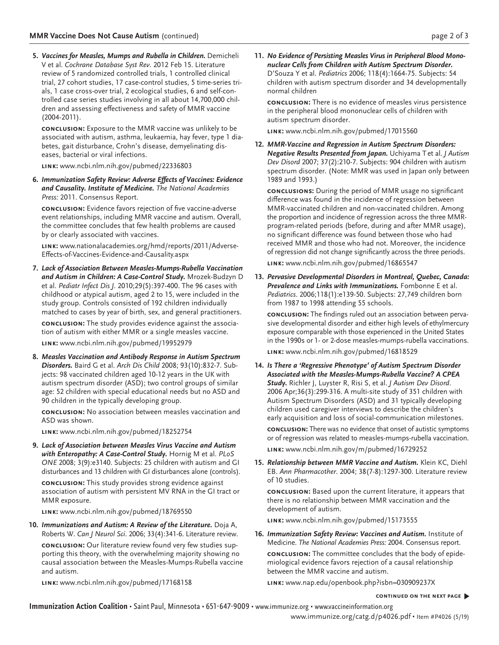**5.** *Vaccines for Measles, Mumps and Rubella in Children.* Demicheli V et al. Cochrane Database Syst Rev. 2012 Feb 15. Literature review of 5 randomized controlled trials, 1 controlled clinical trial, 27 cohort studies, 17 case-control studies, 5 time-series trials, 1 case cross-over trial, 2 ecological studies, 6 and self-controlled case series studies involving in all about 14,700,000 children and assessing effectiveness and safety of MMR vaccine (2004-2011).

**conclusion:** Exposure to the MMR vaccine was unlikely to be associated with autism, asthma, leukaemia, hay fever, type 1 diabetes, gait disturbance, Crohn's disease, demyelinating diseases, bacterial or viral infections.

**link:** [www.ncbi.nlm.nih.gov/pubmed/22336803](http://www.ncbi.nlm.nih.gov/pubmed/22336803)

**6. Immunization Safety Review: Adverse Effects of Vaccines: Evidence** *and Causality. Institute of Medicine.* The National Academies Press: 2011. Consensus Report.

**conclusion:** Evidence favors rejection of five vaccine-adverse event relationships, including MMR vaccine and autism. Overall, the committee concludes that few health problems are caused by or clearly associated with vaccines.

**link:** www.nationalacademies.org/hmd/reports/2011/Adverse-Effects-of-Vaccines-Evidence-and-Causality.aspx

**7.** *Lack of Association Between Measles-Mumps-Rubella Vaccination and Autism in Children: A Case-Control Study.* Mrozek-Budzyn D et al. Pediatr Infect Dis J. 2010;29(5):397-400. The 96 cases with childhood or atypical autism, aged 2 to 15, were included in the study group. Controls consisted of 192 children individually matched to cases by year of birth, sex, and general practitioners.

**conclusion:** The study provides evidence against the association of autism with either MMR or a single measles vaccine.

**link:** [www.ncbi.nlm.nih.gov/pubmed/19952979](http://www.ncbi.nlm.nih.gov/pubmed/19952979)

**8.** *Measles Vaccination and Antibody Response in Autism Spectrum Disorders.* Baird G et al. Arch Dis Child 2008; 93(10):832-7. Subjects: 98 vaccinated children aged 10-12 years in the UK with autism spectrum disorder (ASD); two control groups of similar age: 52 children with special educational needs but no ASD and 90 children in the typically developing group.

**conclusion:** No association between measles vaccination and ASD was shown.

**link:** [www.ncbi.nlm.nih.gov/pubmed/18252754](http://www.ncbi.nlm.nih.gov/pubmed/18252754)

**9.** *Lack of Association between Measles Virus Vaccine and Autism with Enteropathy: A Case-Control Study.* Hornig M et al. PLoS ONE 2008; 3(9):e3140. Subjects: 25 children with autism and GI disturbances and 13 children with GI disturbances alone (controls).

**conclusion:** This study provides strong evidence against association of autism with persistent MV RNA in the GI tract or MMR exposure.

**link:** [www.ncbi.nlm.nih.gov/pubmed/18769550](http://www.ncbi.nlm.nih.gov/pubmed/18769550)

**10.** *Immunizations and Autism: A Review of the Literature.* Doja A, Roberts W. Can J Neurol Sci. 2006; 33(4):341-6. Literature review.

**conclusion:** Our literature review found very few studies supporting this theory, with the overwhelming majority showing no causal association between the Measles-Mumps-Rubella vaccine and autism.

**link:** [www.ncbi.nlm.nih.gov/pubmed/17168158](http://www.ncbi.nlm.nih.gov/pubmed/17168158)

**11.** *No Evidence of Persisting Measles Virus in Peripheral Blood Mononuclear Cells from Children with Autism Spectrum Disorder.* D'Souza Y et al. Pediatrics 2006; 118(4):1664-75. Subjects: 54 children with autism spectrum disorder and 34 developmentally normal children

**conclusion:** There is no evidence of measles virus persistence in the peripheral blood mononuclear cells of children with autism spectrum disorder.

**link:** [www.ncbi.nlm.nih.gov/pubmed/17015560](http://www.ncbi.nlm.nih.gov/pubmed/17015560)

**12.** *MMR-Vaccine and Regression in Autism Spectrum Disorders: Negative Results Presented from Japan.* Uchiyama T et al. J Autism Dev Disord 2007; 37(2):210-7. Subjects: 904 children with autism spectrum disorder. (Note: MMR was used in Japan only between 1989 and 1993.)

**conclusions:** During the period of MMR usage no significant difference was found in the incidence of regression between MMR-vaccinated children and non-vaccinated children. Among the proportion and incidence of regression across the three MMRprogram-related periods (before, during and after MMR usage), no significant difference was found between those who had received MMR and those who had not. Moreover, the incidence of regression did not change significantly across the three periods. **link:** [www.ncbi.nlm.nih.gov/pubmed/16865547](http://www.ncbi.nlm.nih.gov/pubmed/16865547)

**13.** *Pervasive Developmental Disorders in Montreal, Quebec, Canada: Prevalence and Links with Immunizations.* Fombonne E et al. Pediatrics. 2006;118(1):e139-50. Subjects: 27,749 children born from 1987 to 1998 attending 55 schools.

**conclusion:** The findings ruled out an association between pervasive developmental disorder and either high levels of ethylmercury exposure comparable with those experienced in the United States in the 1990s or 1- or 2-dose measles-mumps-rubella vaccinations. **link:** [www.ncbi.nlm.nih.gov/pubmed/16818529](http://www.ncbi.nlm.nih.gov/pubmed/16818529)

**14.** *Is There a 'Regressive Phenotype' of Autism Spectrum Disorder Associated with the Measles-Mumps-Rubella Vaccine? A CPEA Study.* Richler J, Luyster R, Risi S, et al. J Autism Dev Disord. 2006 Apr;36(3):299-316. A multi-site study of 351 children with Autism Spectrum Disorders (ASD) and 31 typically developing children used caregiver interviews to describe the children's early acquisition and loss of social-communication milestones.

**conclusion:** There was no evidence that onset of autistic symptoms or of regression was related to measles-mumps-rubella vaccination. **link:** [www.ncbi.nlm.nih.gov/m/pubmed/16729252](http://www.ncbi.nlm.nih.gov/m/pubmed/16729252)

**15.** *Relationship between MMR Vaccine and Autism.* Klein KC, Diehl EB. Ann Pharmacother. 2004; 38(7-8):1297-300. Literature review of 10 studies.

**conclusion:** Based upon the current literature, it appears that there is no relationship between MMR vaccination and the development of autism.

**link:** [www.ncbi.nlm.nih.gov/pubmed/15173555](http://www.ncbi.nlm.nih.gov/pubmed/15173555)

**16.** *Immunization Safety Review: Vaccines and Autism.* Institute of Medicine. The National Academies Press: 2004. Consensus report.

**conclusion:** The committee concludes that the body of epidemiological evidence favors rejection of a causal relationship between the MMR vaccine and autism.

**link:** [www.nap.edu/openbook.php?isbn=030909237X](http://www.nap.edu/openbook.php?isbn=030909237X)

## **continued on the next page** �

**Immunization Action Coalition** • Saint Paul, Minnesota • 651-647-9009 • <www.immunize.org> • <www.vaccineinformation.org>